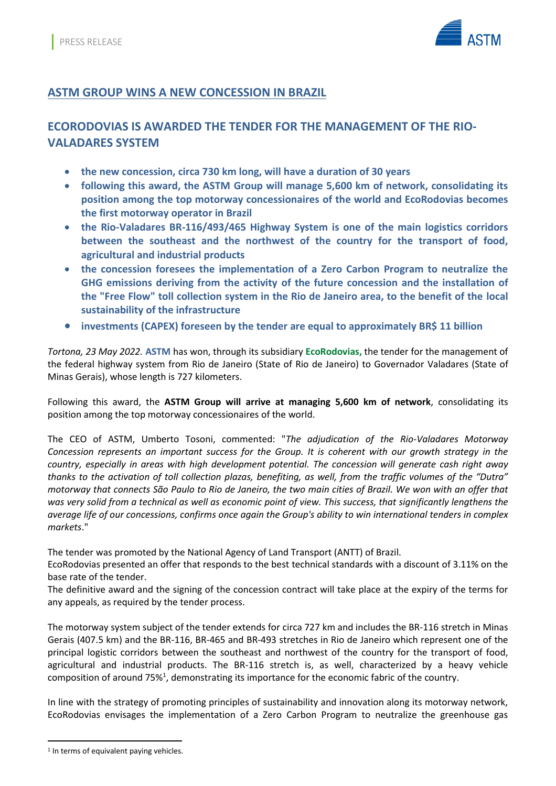

#### **ASTM GROUP WINS A NEW CONCESSION IN BRAZIL**

# **ECORODOVIAS IS AWARDED THE TENDER FOR THE MANAGEMENT OF THE RIO-VALADARES SYSTEM**

- **the new concession, circa 730 km long, will have a duration of 30 years**
- **following this award, the ASTM Group will manage 5,600 km of network, consolidating its position among the top motorway concessionaires of the world and EcoRodovias becomes the first motorway operator in Brazil**
- **the Rio-Valadares BR-116/493/465 Highway System is one of the main logistics corridors between the southeast and the northwest of the country for the transport of food, agricultural and industrial products**
- **the concession foresees the implementation of a Zero Carbon Program to neutralize the GHG emissions deriving from the activity of the future concession and the installation of the "Free Flow" toll collection system in the Rio de Janeiro area, to the benefit of the local sustainability of the infrastructure**
- **investments (CAPEX) foreseen by the tender are equal to approximately BR\$ 11 billion**

*Tortona, 23 May 2022.* **ASTM** has won, through its subsidiary **EcoRodovias,** the tender for the management of the federal highway system from Rio de Janeiro (State of Rio de Janeiro) to Governador Valadares (State of Minas Gerais), whose length is 727 kilometers.

Following this award, the **ASTM Group will arrive at managing 5,600 km of network**, consolidating its position among the top motorway concessionaires of the world.

The CEO of ASTM, Umberto Tosoni, commented: "*The adjudication of the Rio-Valadares Motorway Concession represents an important success for the Group. It is coherent with our growth strategy in the country, especially in areas with high development potential. The concession will generate cash right away thanks to the activation of toll collection plazas, benefiting, as well, from the traffic volumes of the "Dutra" motorway that connects São Paulo to Rio de Janeiro, the two main cities of Brazil. We won with an offer that was very solid from a technical as well as economic point of view. This success, that significantly lengthens the average life of our concessions, confirms once again the Group's ability to win international tenders in complex markets*."

The tender was promoted by the National Agency of Land Transport (ANTT) of Brazil.

EcoRodovias presented an offer that responds to the best technical standards with a discount of 3.11% on the base rate of the tender.

The definitive award and the signing of the concession contract will take place at the expiry of the terms for any appeals, as required by the tender process.

The motorway system subject of the tender extends for circa 727 km and includes the BR-116 stretch in Minas Gerais (407.5 km) and the BR-116, BR-465 and BR-493 stretches in Rio de Janeiro which represent one of the principal logistic corridors between the southeast and northwest of the country for the transport of food, agricultural and industrial products. The BR-116 stretch is, as well, characterized by a heavy vehicle composition of around 75%<sup>1</sup>, demonstrating its importance for the economic fabric of the country.

In line with the strategy of promoting principles of sustainability and innovation along its motorway network, EcoRodovias envisages the implementation of a Zero Carbon Program to neutralize the greenhouse gas

<sup>&</sup>lt;sup>1</sup> In terms of equivalent paying vehicles.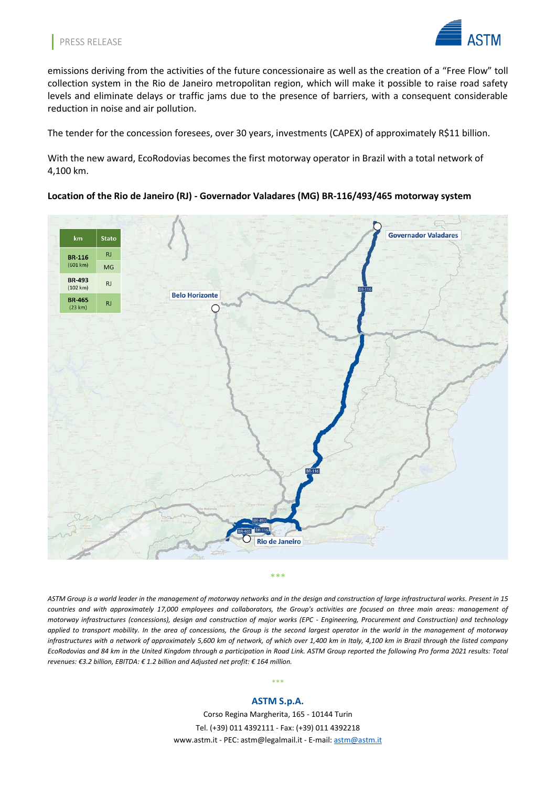

emissions deriving from the activities of the future concessionaire as well as the creation of a "Free Flow" toll collection system in the Rio de Janeiro metropolitan region, which will make it possible to raise road safety levels and eliminate delays or traffic jams due to the presence of barriers, with a consequent considerable reduction in noise and air pollution.

The tender for the concession foresees, over 30 years, investments (CAPEX) of approximately R\$11 billion.

With the new award, EcoRodovias becomes the first motorway operator in Brazil with a total network of 4,100 km.

#### **Location of the Rio de Janeiro (RJ) - Governador Valadares (MG) BR-116/493/465 motorway system**



*ASTM Group is a world leader in the management of motorway networks and in the design and construction of large infrastructural works. Present in 15 countries and with approximately 17,000 employees and collaborators, the Group's activities are focused on three main areas: management of motorway infrastructures (concessions), design and construction of major works (EPC - Engineering, Procurement and Construction) and technology applied to transport mobility. In the area of concessions, the Group is the second largest operator in the world in the management of motorway infrastructures with a network of approximately 5,600 km of network, of which over 1,400 km in Italy, 4,100 km in Brazil through the listed company EcoRodovias and 84 km in the United Kingdom through a participation in Road Link. ASTM Group reported the following Pro forma 2021 results: Total revenues: €3.2 billion, EBITDA: € 1.2 billion and Adjusted net profit: € 164 million.*

# \*\*\* **ASTM S.p.A.**

Corso Regina Margherita, 165 - 10144 Turin Tel. (+39) 011 4392111 - Fax: (+39) 011 4392218 [www.astm.it](http://www.astm.it/) - PEC: [astm@legalmail.it](mailto:astm@legalmail.it) - E-mail: [astm@astm.it](mailto:astm@astm.it)